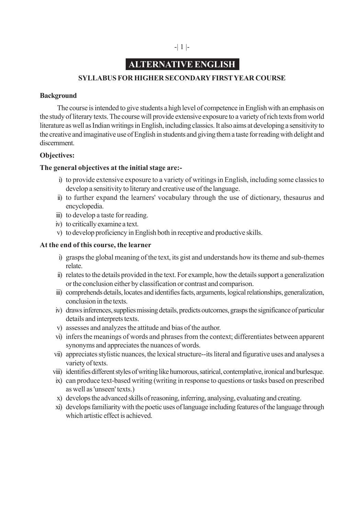## -| 1 |-

## **ALTERNATIVE ENGLISH**

## **SYLLABUS FOR HIGHER SECONDARY FIRST YEAR COURSE**

## **Background**

The course is intended to give students a high level of competence in English with an emphasis on the study of literary texts. The course will provide extensive exposure to a variety of rich texts from world literature as well as Indian writings in English, including classics. It also aims at developing a sensitivity to the creative and imaginative use of English in students and giving them a taste for reading with delight and discernment.

## **Objectives:**

## **The general objectives at the initial stage are:-**

- i) to provide extensive exposure to a variety of writings in English, including some classics to develop a sensitivity to literary and creative use of the language.
- ii) to further expand the learners' vocabulary through the use of dictionary, thesaurus and encyclopedia.
- iii) to develop a taste for reading.
- iv) to critically examine a text.
- v) to develop proficiency in English both in receptive and productive skills.

### **At the end of this course, the learner**

- i) grasps the global meaning of the text, its gist and understands how its theme and sub-themes relate.
- ii) relates to the details provided in the text. For example, how the details support a generalization or the conclusion either by classification or contrast and comparison.
- iii) comprehends details, locates and identifies facts, arguments, logical relationships, generalization, conclusion in the texts.
- iv) draws inferences, supplies missing details, predicts outcomes, grasps the significance of particular details and interprets texts.
- v) assesses and analyzes the attitude and bias of the author.
- vi) infers the meanings of words and phrases from the context; differentiates between apparent synonyms and appreciates the nuances of words.
- vii) appreciates stylistic nuances, the lexical structure--its literal and figurative uses and analyses a variety of texts.
- viii) identifies different styles of writing like humorous, satirical, contemplative, ironical and burlesque.
- ix) can produce text-based writing (writing in response to questions or tasks based on prescribed as well as 'unseen' texts.)
- x) develops the advanced skills of reasoning, inferring, analysing, evaluating and creating.
- xi) develops familiarity with the poetic uses of language including features of the language through which artistic effect is achieved.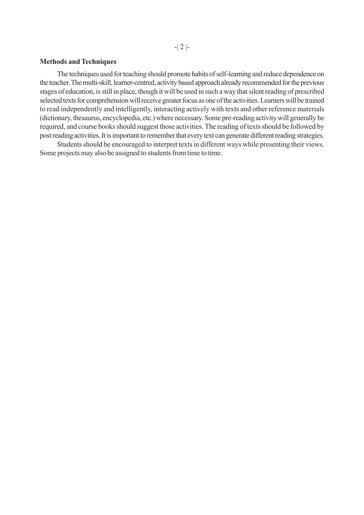#### **Methods and Techniques**

The techniques used for teaching should promote habits of self-learning and reduce dependence on the teacher. The multi-skill, learner-centred, activity based approach already recommended for the previous stages of education, is still in place, though it will be used in such a way that silent reading of prescribed selected texts for comprehension will receive greater focus as one of the activities. Learners will be trained to read independently and intelligently, interacting actively with texts and other reference materials (dictionary, thesaurus, encyclopedia, etc.) where necessary. Some pre-reading activity will generally be required, and course books should suggest those activities. The reading of texts should be followed by post reading activities. It is important to remember that every text can generate different reading strategies.

Students should be encouraged to interpret texts in different ways while presenting their views. Some projects may also be assigned to students from time to time.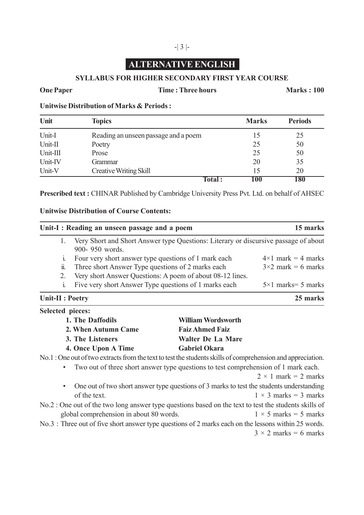# -| 3 |-

# **ALTERNATIVE ENGLISH**

## **SYLLABUS FOR HIGHER SECONDARY FIRST YEAR COURSE**

**One Paper Time : Three hours Marks : 100** 

**Unitwise Distribution of Marks & Periods :**

| Unit     | <b>Topics</b>                        | <b>Marks</b> | <b>Periods</b> |
|----------|--------------------------------------|--------------|----------------|
| Unit-I   | Reading an unseen passage and a poem |              | 25             |
| Unit-II  | Poetry                               | 25           | 50             |
| Unit-III | Prose                                | 25           | 50             |
| Unit-IV  | Grammar                              | 20           | 35             |
| Unit-V   | <b>Creative Writing Skill</b>        | 15           | 20             |
|          | <b>Total :</b>                       | 100          | 180            |

**Prescribed text :** CHINAR Published by Cambridge University Press Pvt. Ltd. on behalf of AHSEC

## **Unitwise Distribution of Course Contents:**

| Unit-I: Reading an unseen passage and a poem                                                                          |                                                           | 15 marks                     |
|-----------------------------------------------------------------------------------------------------------------------|-----------------------------------------------------------|------------------------------|
| Very Short and Short Answer type Questions: Literary or discursive passage of about<br>1.<br>900-950 words.           |                                                           |                              |
| 1 <sub>1</sub>                                                                                                        | Four very short answer type questions of 1 mark each      |                              |
| 11.                                                                                                                   | Three short Answer Type questions of 2 marks each         |                              |
| 2.                                                                                                                    | Very short Answer Questions: A poem of about 08-12 lines. |                              |
| Five very short Answer Type questions of 1 marks each<br>$\mathbf{i}$                                                 |                                                           | $5 \times 1$ marks = 5 marks |
| Unit-II : Poetry                                                                                                      |                                                           | 25 marks                     |
| Selected pieces:                                                                                                      |                                                           |                              |
| 1. The Daffodils                                                                                                      | <b>William Wordsworth</b>                                 |                              |
| 2. When Autumn Came                                                                                                   | <b>Faiz Ahmed Faiz</b>                                    |                              |
| 3. The Listeners                                                                                                      | <b>Walter De La Mare</b>                                  |                              |
| 4. Once Upon A Time                                                                                                   | <b>Gabriel Okara</b>                                      |                              |
| No.1: One out of two extracts from the text to test the students skills of comprehension and appreciation.            |                                                           |                              |
| Two out of three short answer type questions to test comprehension of 1 mark each.                                    |                                                           |                              |
|                                                                                                                       |                                                           | $2 \times 1$ mark = 2 marks  |
| One out of two short answer type questions of 3 marks to test the students understanding<br>$\bullet$<br>of the text. |                                                           | $1 \times 3$ marks = 3 marks |
| No.2 : One out of the two long answer type questions based on the text to test the students skills of                 |                                                           |                              |
| global comprehension in about 80 words.                                                                               |                                                           | $1 \times 5$ marks = 5 marks |
| No.3: Three out of five short answer type questions of 2 marks each on the lessons within 25 words.                   |                                                           |                              |
|                                                                                                                       |                                                           | $3 \times 2$ marks = 6 marks |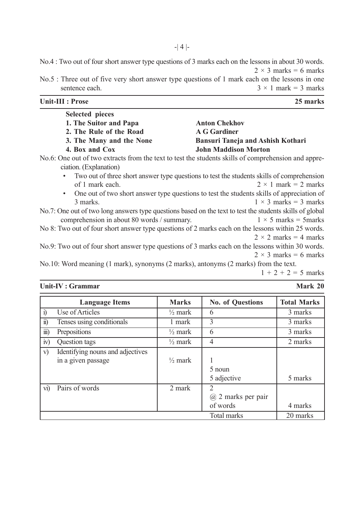No.4 : Two out of four short answer type questions of 3 marks each on the lessons in about 30 words.  $2 \times 3$  marks = 6 marks

No.5 : Three out of five very short answer type questions of 1 mark each on the lessons in one sentence each.  $3 \times 1$  mark = 3 marks  $3 \times 1$  mark = 3 marks

| Unit-III : Prose                                                                    | 25 marks                                                                                                 |
|-------------------------------------------------------------------------------------|----------------------------------------------------------------------------------------------------------|
| <b>Selected pieces</b>                                                              |                                                                                                          |
| 1. The Suitor and Papa                                                              | <b>Anton Chekhov</b>                                                                                     |
| 2. The Rule of the Road                                                             | <b>A G Gardiner</b>                                                                                      |
| 3. The Many and the None                                                            | <b>Bansuri Taneja and Ashish Kothari</b>                                                                 |
| 4. Box and Cox                                                                      | <b>John Maddison Morton</b>                                                                              |
| ciation. (Explanation)                                                              | No.6: One out of two extracts from the text to test the students skills of comprehension and appre-      |
|                                                                                     | Two out of three short answer type questions to test the students skills of comprehension                |
| of 1 mark each.                                                                     | $2 \times 1$ mark = 2 marks                                                                              |
| $\bullet$                                                                           | One out of two short answer type questions to test the students skills of appreciation of                |
| 3 marks.                                                                            | $1 \times 3$ marks = 3 marks                                                                             |
|                                                                                     | No.7: One out of two long answers type questions based on the text to test the students skills of global |
| comprehension in about 80 words / summary.                                          | $1 \times 5$ marks = 5 marks                                                                             |
|                                                                                     | No 8: Two out of four short answer type questions of 2 marks each on the lessons within 25 words.        |
|                                                                                     | $2 \times 2$ marks = 4 marks                                                                             |
|                                                                                     | No.9: Two out of four short answer type questions of 3 marks each on the lessons within 30 words.        |
|                                                                                     | $2 \times 3$ marks = 6 marks                                                                             |
| No.10: Word meaning (1 mark), synonyms (2 marks), antonyms (2 marks) from the text. |                                                                                                          |
|                                                                                     | $1 + 2 + 2 = 5$ marks                                                                                    |

**Unit-IV : Grammar Mark 20**

|                        | <b>Language Items</b>            | <b>Marks</b>       | <b>No. of Questions</b> | <b>Total Marks</b> |
|------------------------|----------------------------------|--------------------|-------------------------|--------------------|
| $\overline{1}$         | Use of Articles                  | $\frac{1}{2}$ mark | 6                       | 3 marks            |
| $\ddot{\mathbf{n}})$   | Tenses using conditionals        | 1 mark             | 3                       | 3 marks            |
| $\dddot{\mathbf{m}}$ ) | Prepositions                     | $\frac{1}{2}$ mark | 6                       | 3 marks            |
| iv)                    | Question tags                    | $\frac{1}{2}$ mark | $\overline{4}$          | 2 marks            |
| V)                     | Identifying nouns and adjectives |                    |                         |                    |
|                        | in a given passage               | $\frac{1}{2}$ mark |                         |                    |
|                        |                                  |                    | 5 noun                  |                    |
|                        |                                  |                    | 5 adjective             | 5 marks            |
| $\overline{vi}$        | Pairs of words                   | 2 mark             | $\mathcal{L}$           |                    |
|                        |                                  |                    | $(a)$ 2 marks per pair  |                    |
|                        |                                  |                    | of words                | 4 marks            |
|                        |                                  |                    | Total marks             | 20 marks           |